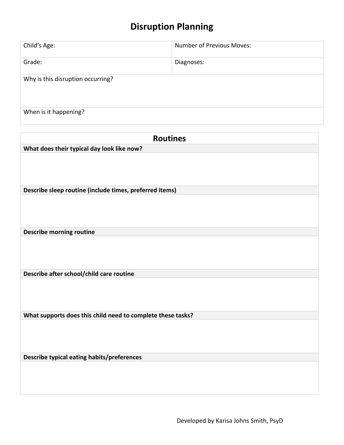## **Disruption Planning**

| Child's Age:                      | Number of Previous Moves: |
|-----------------------------------|---------------------------|
| Grade:                            | Diagnoses:                |
| Why is this disruption occurring? |                           |
| When is it happening?             |                           |

| <b>Routines</b>                                             |
|-------------------------------------------------------------|
| What does their typical day look like now?                  |
|                                                             |
|                                                             |
|                                                             |
| Describe sleep routine (include times, preferred items)     |
|                                                             |
|                                                             |
|                                                             |
|                                                             |
| <b>Describe morning routine</b>                             |
|                                                             |
|                                                             |
|                                                             |
| Describe after school/child care routine                    |
|                                                             |
|                                                             |
|                                                             |
| What supports does this child need to complete these tasks? |
|                                                             |
|                                                             |
|                                                             |
|                                                             |
| Describe typical eating habits/preferences                  |
|                                                             |
|                                                             |
|                                                             |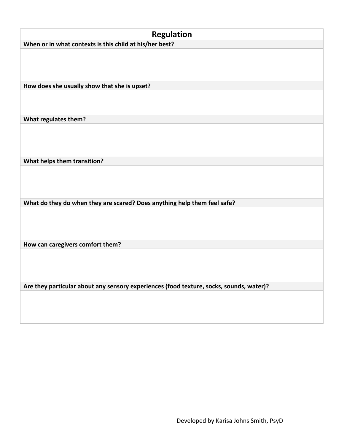| <b>Regulation</b>                                                                       |
|-----------------------------------------------------------------------------------------|
| When or in what contexts is this child at his/her best?                                 |
|                                                                                         |
|                                                                                         |
|                                                                                         |
|                                                                                         |
| How does she usually show that she is upset?                                            |
|                                                                                         |
|                                                                                         |
| What regulates them?                                                                    |
|                                                                                         |
|                                                                                         |
|                                                                                         |
|                                                                                         |
| What helps them transition?                                                             |
|                                                                                         |
|                                                                                         |
|                                                                                         |
| What do they do when they are scared? Does anything help them feel safe?                |
|                                                                                         |
|                                                                                         |
|                                                                                         |
|                                                                                         |
| How can caregivers comfort them?                                                        |
|                                                                                         |
|                                                                                         |
|                                                                                         |
| Are they particular about any sensory experiences (food texture, socks, sounds, water)? |
|                                                                                         |
|                                                                                         |
|                                                                                         |
|                                                                                         |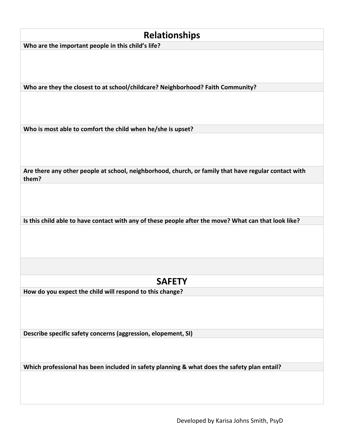| <b>Relationships</b>                                                                                          |
|---------------------------------------------------------------------------------------------------------------|
| Who are the important people in this child's life?                                                            |
|                                                                                                               |
| Who are they the closest to at school/childcare? Neighborhood? Faith Community?                               |
|                                                                                                               |
| Who is most able to comfort the child when he/she is upset?                                                   |
|                                                                                                               |
| Are there any other people at school, neighborhood, church, or family that have regular contact with<br>them? |
|                                                                                                               |
| Is this child able to have contact with any of these people after the move? What can that look like?          |
|                                                                                                               |
| <b>SAFETY</b>                                                                                                 |
| How do you expect the child will respond to this change?                                                      |
| Describe specific safety concerns (aggression, elopement, SI)                                                 |
|                                                                                                               |
| Which professional has been included in safety planning & what does the safety plan entail?                   |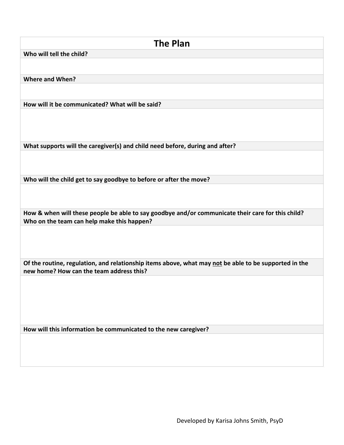| <b>The Plan</b>                                                                                                                                   |  |
|---------------------------------------------------------------------------------------------------------------------------------------------------|--|
| Who will tell the child?                                                                                                                          |  |
|                                                                                                                                                   |  |
|                                                                                                                                                   |  |
| <b>Where and When?</b>                                                                                                                            |  |
|                                                                                                                                                   |  |
| How will it be communicated? What will be said?                                                                                                   |  |
|                                                                                                                                                   |  |
| What supports will the caregiver(s) and child need before, during and after?                                                                      |  |
|                                                                                                                                                   |  |
| Who will the child get to say goodbye to before or after the move?                                                                                |  |
|                                                                                                                                                   |  |
| How & when will these people be able to say goodbye and/or communicate their care for this child?                                                 |  |
| Who on the team can help make this happen?                                                                                                        |  |
|                                                                                                                                                   |  |
| Of the routine, regulation, and relationship items above, what may not be able to be supported in the<br>new home? How can the team address this? |  |
|                                                                                                                                                   |  |
| How will this information be communicated to the new caregiver?                                                                                   |  |
|                                                                                                                                                   |  |